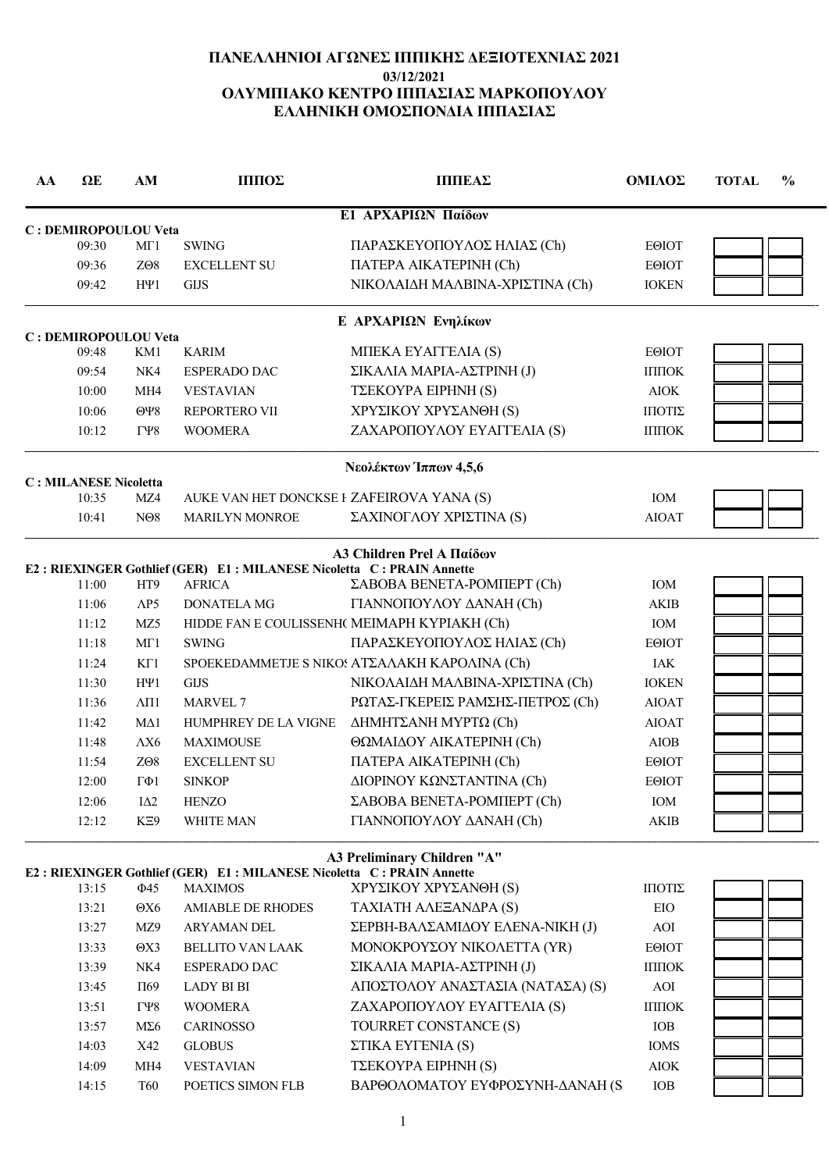# ΠΑΝΕΛΛΗΝΙΟΙ ΑΓΩΝΕΣ ΙΠΠΙΚΗΣ ΔΕΞΙΟΤΕΧΝΙΑΣ 2021 03/12/2021 ΟΛΥΜΠΙΑΚΟ ΚΕΝΤΡΟ ΙΠΠΑΣΙΑΣ ΜΑΡΚΟΠΟΥΛΟΥ ΕΛΛΗΝΙΚΗ ΟΜΟΣΠΟΝΔΙΑ ΙΠΠΑΣΙΑΣ

| AA | $\Omega$ E                     | AM                                             | ΠШΟΣ                                                                                   | <b>ППГЕАΣ</b>                                       | ΟΜΙΛΟΣ          | $\frac{6}{9}$<br><b>TOTAL</b> |
|----|--------------------------------|------------------------------------------------|----------------------------------------------------------------------------------------|-----------------------------------------------------|-----------------|-------------------------------|
|    |                                |                                                |                                                                                        | Ε1 ΑΡΧΑΡΙΩΝ Παίδων                                  |                 |                               |
|    | C : DEMIROPOULOU Veta<br>09:30 | MT1                                            | <b>SWING</b>                                                                           | ΠΑΡΑΣΚΕΥΟΠΟΥΛΟΣ ΗΛΙΑΣ (Ch)                          | <b>EOIOT</b>    |                               |
|    | 09:36                          | ZO <sub>8</sub>                                | <b>EXCELLENT SU</b>                                                                    | <b>ΠΑΤΕΡΑ ΑΙΚΑΤΕΡΙΝΗ (Ch)</b>                       | <b>EOIOT</b>    |                               |
|    | 09:42                          | $H\Psi1$                                       | <b>GIJS</b>                                                                            | ΝΙΚΟΛΑΙΔΗ ΜΑΛΒΙΝΑ-ΧΡΙΣΤΙΝΑ (Ch)                     | <b>IOKEN</b>    |                               |
|    |                                |                                                |                                                                                        | Ε ΑΡΧΑΡΙΩΝ Ενηλίκων                                 |                 |                               |
|    | C : DEMIROPOULOU Veta<br>09:48 | KM1                                            | <b>KARIM</b>                                                                           | MITEKA EYATTEAIA (S)                                | <b>EOIOT</b>    |                               |
|    | 09:54                          | NK4                                            | <b>ESPERADO DAC</b>                                                                    | ΣΙΚΑΛΙΑ ΜΑΡΙΑ-ΑΣΤΡΙΝΗ (J)                           | ІППОК           |                               |
|    |                                | MH4                                            |                                                                                        | TΣΕΚΟΥΡΑ ΕΙΡΗΝΗ (S)                                 |                 |                               |
|    | 10:00                          |                                                | <b>VESTAVIAN</b>                                                                       |                                                     | <b>AIOK</b>     |                               |
|    | 10:06<br>10:12                 | $\Theta$ Y <sub>8</sub><br>$\Gamma$ $\gamma$ 8 | <b>REPORTERO VII</b><br><b>WOOMERA</b>                                                 | ΧΡΥΣΙΚΟΥ ΧΡΥΣΑΝΘΗ (S)<br>ΖΑΧΑΡΟΠΟΥΛΟΥ ΕΥΑΓΓΕΛΙΑ (S) | ΠΙΟΤΙΣ<br>ІППОК |                               |
|    |                                |                                                |                                                                                        |                                                     |                 |                               |
|    | <b>C: MILANESE Nicoletta</b>   |                                                |                                                                                        | Νεολέκτων Ίππων 4,5,6                               |                 |                               |
|    | 10:35                          | MZ4                                            | AUKE VAN HET DONCKSE I ZAFEIROVA YANA (S)                                              |                                                     | <b>IOM</b>      |                               |
|    | 10:41                          | N <sub>08</sub>                                | <b>MARILYN MONROE</b>                                                                  | ΣΑΧΙΝΟΓΛΟΥ ΧΡΙΣΤΙΝΑ (S)                             | <b>AIOAT</b>    |                               |
|    |                                |                                                |                                                                                        | <b>A3 Children Prel A Παίδων</b>                    |                 |                               |
|    |                                |                                                | E2: RIEXINGER Gothlief (GER) E1: MILANESE Nicoletta C: PRAIN Annette                   |                                                     |                 |                               |
|    | 11:00                          | HT9                                            | <b>AFRICA</b>                                                                          | ΣΑΒΟΒΑ ΒΕΝΕΤΑ-ΡΟΜΠΕΡΤ (Ch)                          | IOM             |                               |
|    | 11:06                          | $\triangle P5$                                 | <b>DONATELA MG</b>                                                                     | ΓΙΑΝΝΟΠΟΥΛΟΥ ΔΑΝΑΗ (Ch)                             | <b>AKIB</b>     |                               |
|    | 11:12                          | MZ <sub>5</sub>                                |                                                                                        | HIDDE FAN E COULISSENH( MEIMAPH KYPIAKH (Ch)        | IOM             |                               |
|    | 11:18                          | MT1                                            | <b>SWING</b>                                                                           | ΠΑΡΑΣΚΕΥΟΠΟΥΛΟΣ ΗΛΙΑΣ (Ch)                          | <b>EOIOT</b>    |                               |
|    | 11:24                          | KT1                                            |                                                                                        | SPOEKEDAMMETJE S NIKOS AT ZAAAKH KAPOAINA (Ch)      | IAK             |                               |
|    | 11:30                          | $H\Psi1$                                       | <b>GIJS</b>                                                                            | ΝΙΚΟΛΑΙΔΗ ΜΑΛΒΙΝΑ-ΧΡΙΣΤΙΝΑ (Ch)                     | <b>IOKEN</b>    |                               |
|    | 11:36                          | $\Lambda$ <sub>II1</sub>                       | <b>MARVEL 7</b>                                                                        | ΡΩΤΑΣ-ΓΚΕΡΕΙΣ ΡΑΜΣΗΣ-ΠΕΤΡΟΣ (Ch)                    | <b>AIOAT</b>    |                               |
|    | 11:42                          | $M\Delta 1$                                    | HUMPHREY DE LA VIGNE                                                                   | ΔΗΜΗΤΣΑΝΗ ΜΥΡΤΩ (Ch)                                | <b>AIOAT</b>    |                               |
|    | 11:48                          | $\Lambda X6$                                   | <b>MAXIMOUSE</b>                                                                       | ΘΩΜΑΙΔΟΥ ΑΙΚΑΤΕΡΙΝΗ (Ch)                            | <b>AIOB</b>     |                               |
|    | 11:54                          | ZO <sub>8</sub>                                | <b>EXCELLENT SU</b>                                                                    | <b>ΠΑΤΕΡΑ ΑΙΚΑΤΕΡΙΝΗ (Ch)</b>                       | <b>EOIOT</b>    |                               |
|    | 12:00                          | $\Gamma \Phi 1$                                | <b>SINKOP</b>                                                                          | ΔΙΟΡΙΝΟΥ ΚΩΝΣΤΑΝΤΙΝΑ (Ch)                           | EOIOT           |                               |
|    | 12:06                          | $I\Delta2$                                     | <b>HENZO</b>                                                                           | ΣΑΒΟΒΑ ΒΕΝΕΤΑ-ΡΟΜΠΕΡΤ (Ch)                          | IOM             |                               |
|    | 12:12                          | KE9                                            | WHITE MAN                                                                              | ΓΙΑΝΝΟΠΟΥΛΟΥ ΔΑΝΑΗ (Ch)                             | <b>AKIB</b>     |                               |
|    |                                |                                                |                                                                                        | A3 Preliminary Children "A"                         |                 |                               |
|    | 13:15                          | Ф45                                            | E2: RIEXINGER Gothlief (GER) E1: MILANESE Nicoletta C: PRAIN Annette<br><b>MAXIMOS</b> | ΧΡΥΣΙΚΟΥ ΧΡΥΣΑΝΘΗ (S)                               | ΠΙΟΤΙΣ          |                               |
|    |                                |                                                | <b>AMIABLE DE RHODES</b>                                                               | ΤΑΧΙΑΤΗ ΑΛΕΞΑΝΔΡΑ (S)                               | EIO             |                               |
|    | 13:21                          | $\Theta X6$                                    |                                                                                        |                                                     |                 |                               |
|    | 13:27                          | MZ9                                            | ARYAMAN DEL                                                                            | ΣΕΡΒΗ-ΒΑΛΣΑΜΙΔΟΥ ΕΛΕΝΑ-ΝΙΚΗ (J)                     | AOI             |                               |
|    | 13:33                          | $\Theta$ X3                                    | <b>BELLITO VAN LAAK</b><br><b>ESPERADO DAC</b>                                         | ΜΟΝΟΚΡΟΥΣΟΥ ΝΙΚΟΛΕΤΤΑ (ΥR)                          | ΕΘΙΟΤ           |                               |
|    | 13:39                          | NK4                                            |                                                                                        | ΣΙΚΑΛΙΑ ΜΑΡΙΑ-ΑΣΤΡΙΝΗ (J)                           | ІППОК           |                               |
|    | 13:45                          | $\Pi$ 69                                       | LADY BI BI                                                                             | ΑΠΟΣΤΟΛΟΥ ΑΝΑΣΤΑΣΙΑ (ΝΑΤΑΣΑ) (S)                    | AOI             |                               |
|    | 13:51                          | $\Gamma$ $\gamma$ 8                            | <b>WOOMERA</b>                                                                         | ΖΑΧΑΡΟΠΟΥΛΟΥ ΕΥΑΓΓΕΛΙΑ (S)                          | ІППОК           |                               |
|    | 13:57                          | $M\Sigma 6$                                    | <b>CARINOSSO</b>                                                                       | TOURRET CONSTANCE (S)                               | IOB             |                               |
|    | 14:03                          | X42                                            | <b>GLOBUS</b>                                                                          | ΣΤΙΚΑ ΕΥΓΕΝΙΑ (S)                                   | <b>IOMS</b>     |                               |
|    | 14:09                          | MH4                                            | <b>VESTAVIAN</b>                                                                       | ΤΣΕΚΟΥΡΑ ΕΙΡΗΝΗ (S)                                 | $AIOK$          |                               |
|    | 14:15                          | <b>T60</b>                                     | POETICS SIMON FLB                                                                      | ΒΑΡΘΟΛΟΜΑΤΟΥ ΕΥΦΡΟΣΥΝΗ-ΔΑΝΑΗ (S                     | IOB             |                               |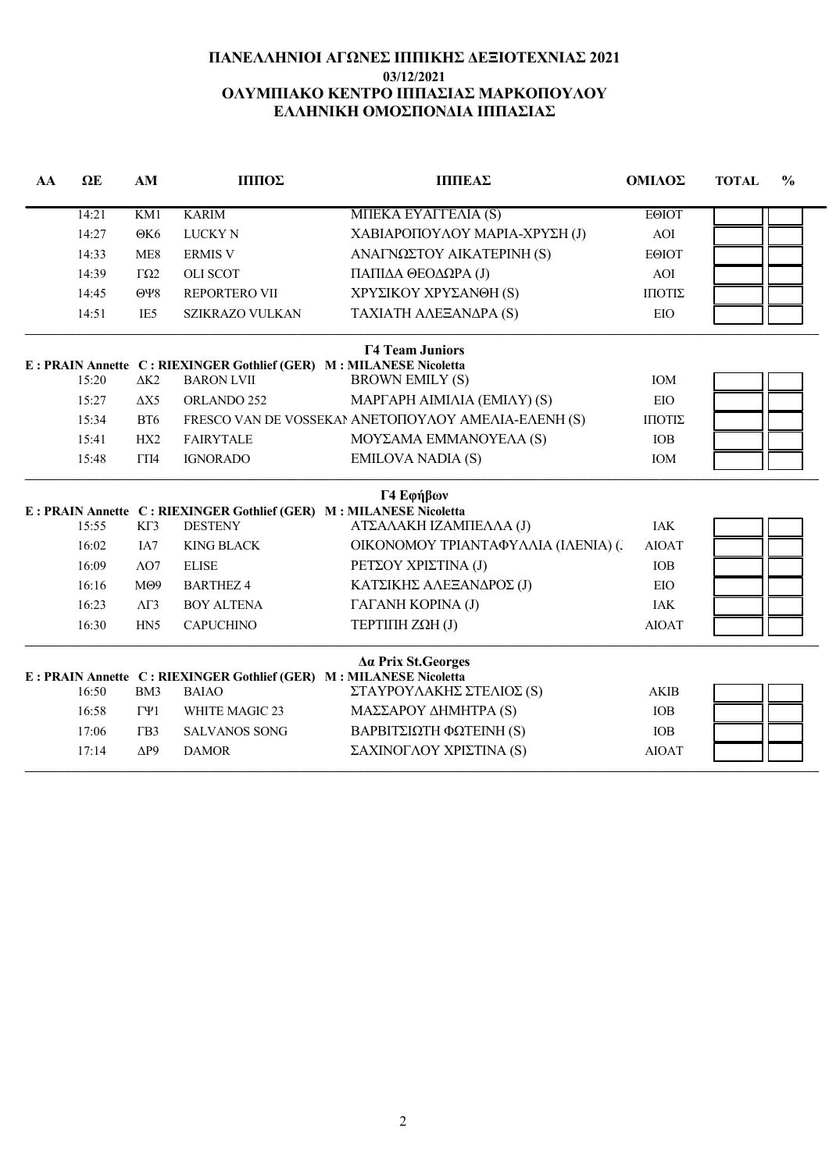# ΠΑΝΕΛΛΗΝΙΟΙ ΑΓΩΝΕΣ ΙΠΠΙΚΗΣ ΔΕΞΙΟΤΕΧΝΙΑΣ 2021 03/12/2021 ΟΛΥΜΠΙΑΚΟ ΚΕΝΤΡΟ ΙΠΠΑΣΙΑΣ ΜΑΡΚΟΠΟΥΛΟΥ ΕΛΛΗΝΙΚΗ ΟΜΟΣΠΟΝΔΙΑ ΙΠΠΑΣΙΑΣ

| AA | $\Omega$ E | AM                      | ΙΠΠΟΣ                                                                                      | <b>ПППЕАΣ</b>                                       | ΟΜΙΛΟΣ       | <b>TOTAL</b> | $\frac{0}{0}$ |
|----|------------|-------------------------|--------------------------------------------------------------------------------------------|-----------------------------------------------------|--------------|--------------|---------------|
|    | 14:21      | KM1                     | <b>KARIM</b>                                                                               | MIJEKA EYAFTEAIA (S)                                | <b>EOIOT</b> |              |               |
|    | 14:27      | O <sub>K6</sub>         | <b>LUCKY N</b>                                                                             | ΧΑΒΙΑΡΟΠΟΥΛΟΥ ΜΑΡΙΑ-ΧΡΥΣΗ (J)                       | AOI          |              |               |
|    | 14:33      | ME <sub>8</sub>         | <b>ERMIS V</b>                                                                             | ΑΝΑΓΝΩΣΤΟΥ ΑΙΚΑΤΕΡΙΝΗ (S)                           | <b>EOIOT</b> |              |               |
|    | 14:39      | $\Gamma \Omega 2$       | <b>OLI SCOT</b>                                                                            | ΠΑΠΙΔΑ ΘΕΟΔΩΡΑ (J)                                  | AOI          |              |               |
|    | 14:45      | $\Theta$ Y <sub>8</sub> | REPORTERO VII                                                                              | ΧΡΥΣΙΚΟΥ ΧΡΥΣΑΝΘΗ (S)                               | ΙΠΟΤΙΣ       |              |               |
|    | 14:51      | IE <sub>5</sub>         | <b>SZIKRAZO VULKAN</b>                                                                     | ΤΑΧΙΑΤΗ ΑΛΕΞΑΝΔΡΑ (S)                               | EIO          |              |               |
|    |            |                         |                                                                                            | <b>T4 Team Juniors</b>                              |              |              |               |
|    | 15:20      |                         | E : PRAIN Annette C : RIEXINGER Gothlief (GER) M : MILANESE Nicoletta<br><b>BARON LVII</b> |                                                     |              |              |               |
|    |            | $\Delta K2$             |                                                                                            | <b>BROWN EMILY (S)</b>                              | IOM          |              |               |
|    | 15:27      | $\Delta X$ 5            | ORLANDO 252                                                                                | <b>ΜΑΡΓΑΡΗ ΑΙΜΙΛΙΑ (ΕΜΙΛΥ) (S)</b>                  | EIO          |              |               |
|    | 15:34      | BT6                     |                                                                                            | FRESCO VAN DE VOSSEKAN ANETOΠOYAOY AMEAIA-EAENH (S) | ΙΠΟΤΙΣ       |              |               |
|    | 15:41      | HX2                     | <b>FAIRYTALE</b>                                                                           | ΜΟΥΣΑΜΑ ΕΜΜΑΝΟΥΕΛΑ (S)                              | <b>IOB</b>   |              |               |
|    | 15:48      | $\Gamma\Pi4$            | <b>IGNORADO</b>                                                                            | <b>EMILOVA NADIA (S)</b>                            | IOM          |              |               |
|    |            |                         |                                                                                            | Γ4 Εφήβων                                           |              |              |               |
|    | 15:55      | KT3                     | E : PRAIN Annette C : RIEXINGER Gothlief (GER) M : MILANESE Nicoletta<br><b>DESTENY</b>    | ΑΤΣΑΛΑΚΗ ΙΖΑΜΠΕΛΛΑ (J)                              | <b>IAK</b>   |              |               |
|    | 16:02      | IA7                     | <b>KING BLACK</b>                                                                          | ΟΙΚΟΝΟΜΟΥ ΤΡΙΑΝΤΑΦΥΛΛΙΑ (ΙΛΕΝΙΑ) (.                 | <b>AIOAT</b> |              |               |
|    | 16:09      | $\Lambda$ O7            | <b>ELISE</b>                                                                               | ΡΕΤΣΟΥ ΧΡΙΣΤΙΝΑ (J)                                 | <b>IOB</b>   |              |               |
|    | 16:16      | M <sub>09</sub>         | <b>BARTHEZ 4</b>                                                                           | ΚΑΤΣΙΚΗΣ ΑΛΕΞΑΝΔΡΟΣ (J)                             | EIO          |              |               |
|    | 16:23      | $\Lambda$ $\Gamma$ 3    | <b>BOY ALTENA</b>                                                                          | ΓΑΓΑΝΗ ΚΟΡΙΝΑ (J)                                   | <b>IAK</b>   |              |               |
|    | 16:30      | HN <sub>5</sub>         | <b>CAPUCHINO</b>                                                                           | <b>ΤΕΡΤΙΠΗ ΖΩΗ (J)</b>                              | <b>AIOAT</b> |              |               |
|    |            |                         |                                                                                            | Δα Prix St. Georges                                 |              |              |               |
|    |            |                         | E : PRAIN Annette C : RIEXINGER Gothlief (GER) M : MILANESE Nicoletta                      |                                                     |              |              |               |
|    | 16:50      | BM3                     | <b>BAIAO</b>                                                                               | ΣΤΑΥΡΟΥΛΑΚΗΣ ΣΤΕΛΙΟΣ (S)                            | <b>AKIB</b>  |              |               |
|    | 16:58      | $\Gamma\Psi1$           | WHITE MAGIC 23                                                                             | ΜΑΣΣΑΡΟΥ ΔΗΜΗΤΡΑ (S)                                | <b>IOB</b>   |              |               |
|    | 17:06      | $\Gamma$ B <sub>3</sub> | <b>SALVANOS SONG</b>                                                                       | ΒΑΡΒΙΤΣΙΩΤΗ ΦΩΤΕΙΝΗ (S)                             | <b>IOB</b>   |              |               |
|    | 17:14      | $\Delta P9$             | <b>DAMOR</b>                                                                               | ΣΑΧΙΝΟΓΛΟΥ ΧΡΙΣΤΙΝΑ (S)                             | <b>AIOAT</b> |              |               |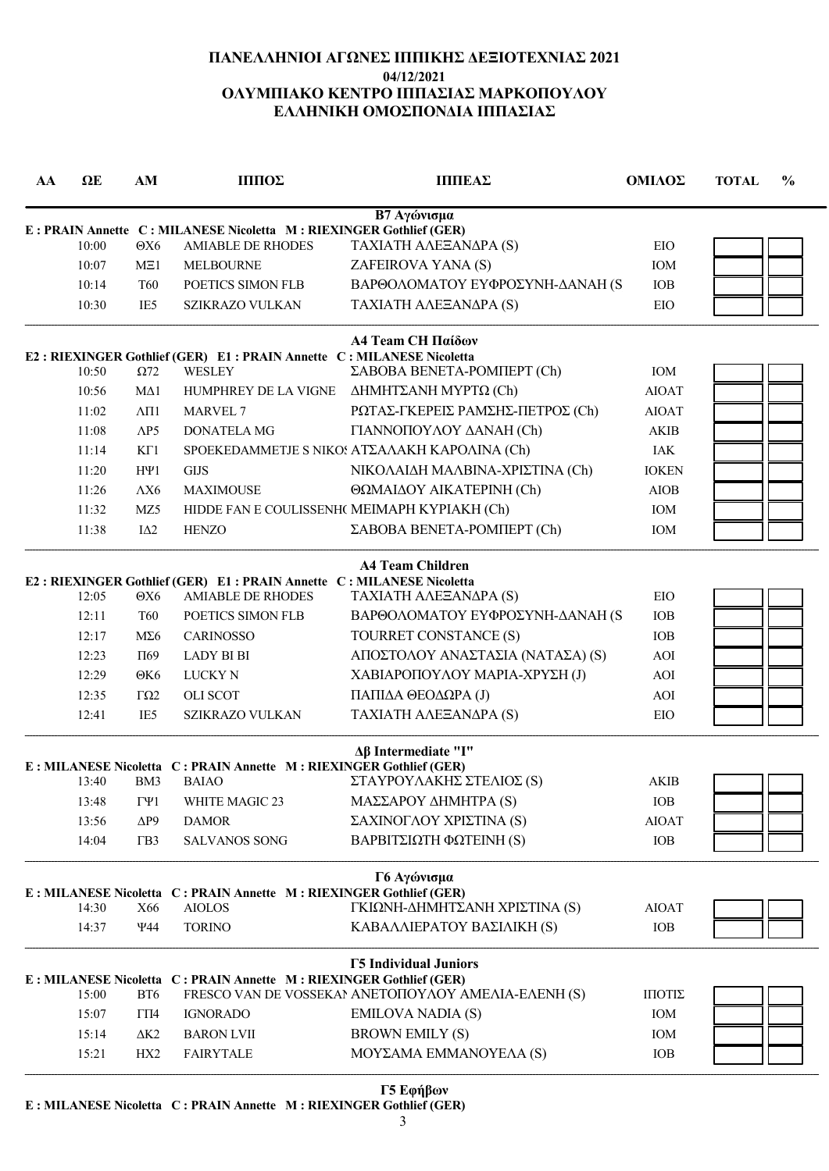# ΠΑΝΕΛΛΗΝΙΟΙ ΑΓΩΝΕΣ ΙΠΠΙΚΗΣ ΔΕΞΙΟΤΕΧΝΙΑΣ 2021 04/12/2021 ΟΛΥΜΠΙΑΚΟ ΚΕΝΤΡΟ ΙΠΠΑΣΙΑΣ ΜΑΡΚΟΠΟΥΛΟΥ ΕΛΛΗΝΙΚΗ ΟΜΟΣΠΟΝΔΙΑ ΙΠΠΑΣΙΑΣ

| AA | $\Omega$ E | AM                       | ΙΠΠΟΣ                                                                                 | <b>ПППЕАΣ</b>                                       | ΟΜΙΛΟΣ                           | <b>TOTAL</b> | $\frac{0}{0}$ |
|----|------------|--------------------------|---------------------------------------------------------------------------------------|-----------------------------------------------------|----------------------------------|--------------|---------------|
|    |            |                          |                                                                                       | Β7 Αγώνισμα                                         |                                  |              |               |
|    |            |                          | E : PRAIN Annette C : MILANESE Nicoletta M : RIEXINGER Gothlief (GER)                 |                                                     |                                  |              |               |
|    | 10:00      | $\Theta X6$              | <b>AMIABLE DE RHODES</b>                                                              | ΤΑΧΙΑΤΗ ΑΛΕΞΑΝΔΡΑ (S)                               | EIO                              |              |               |
|    | 10:07      | ME1                      | <b>MELBOURNE</b>                                                                      | ZAFEIROVA YANA (S)                                  | IOM                              |              |               |
|    | 10:14      | T60                      | POETICS SIMON FLB                                                                     | ΒΑΡΘΟΛΟΜΑΤΟΥ ΕΥΦΡΟΣΥΝΗ-ΔΑΝΑΗ (S                     | <b>IOB</b>                       |              |               |
|    | 10:30      | IE5                      | SZIKRAZO VULKAN                                                                       | ΤΑΧΙΑΤΗ ΑΛΕΞΑΝΔΡΑ (S)                               | EIO                              |              |               |
|    | 10:50      | $\Omega$ 72              | E2: RIEXINGER Gothlief (GER) E1: PRAIN Annette C: MILANESE Nicoletta<br><b>WESLEY</b> | A4 Team CH Παίδων<br>ΣΑΒΟΒΑ ΒΕΝΕΤΑ-ΡΟΜΠΕΡΤ (Ch)     | IOM                              |              |               |
|    | 10:56      | MΔ1                      | HUMPHREY DE LA VIGNE                                                                  | ΔΗΜΗΤΣΑΝΗ ΜΥΡΤΩ (Ch)                                | <b>AIOAT</b>                     |              |               |
|    | 11:02      | $\Lambda$ <sub>II1</sub> | MARVEL 7                                                                              | ΡΩΤΑΣ-ΓΚΕΡΕΙΣ ΡΑΜΣΗΣ-ΠΕΤΡΟΣ (Ch)                    | <b>AIOAT</b>                     |              |               |
|    | 11:08      | $\triangle P5$           | <b>DONATELA MG</b>                                                                    | ΓΙΑΝΝΟΠΟΥΛΟΥ ΔΑΝΑΗ (Ch)                             | <b>AKIB</b>                      |              |               |
|    | 11:14      | KT1                      |                                                                                       | SPOEKEDAMMETJE S NIKOS ΑΤΣΑΛΑΚΗ ΚΑΡΟΛΙΝΑ (Ch)       | <b>IAK</b>                       |              |               |
|    | 11:20      | $H\Psi1$                 | <b>GIJS</b>                                                                           | ΝΙΚΟΛΑΙΔΗ ΜΑΛΒΙΝΑ-ΧΡΙΣΤΙΝΑ (Ch)                     | <b>IOKEN</b>                     |              |               |
|    | 11:26      | $\Lambda X6$             | <b>MAXIMOUSE</b>                                                                      | ΘΩΜΑΙΔΟΥ ΑΙΚΑΤΕΡΙΝΗ (Ch)                            | <b>AIOB</b>                      |              |               |
|    | 11:32      | MZ5                      |                                                                                       | HIDDE FAN E COULISSENH( MEIMAPH KYPIAKH (Ch)        | IOM                              |              |               |
|    | 11:38      | $I\Delta2$               | <b>HENZO</b>                                                                          | ΣΑΒΟΒΑ ΒΕΝΕΤΑ-ΡΟΜΠΕΡΤ (Ch)                          | IOM                              |              |               |
|    |            |                          |                                                                                       | <b>A4 Team Children</b>                             |                                  |              |               |
|    |            |                          | E2: RIEXINGER Gothlief (GER) E1: PRAIN Annette C: MILANESE Nicoletta                  |                                                     |                                  |              |               |
|    | 12:05      | $\Theta X6$              | <b>AMIABLE DE RHODES</b>                                                              | ΤΑΧΙΑΤΗ ΑΛΕΞΑΝΔΡΑ (S)                               | EIO                              |              |               |
|    | 12:11      | T <sub>60</sub>          | POETICS SIMON FLB                                                                     | ΒΑΡΘΟΛΟΜΑΤΟΥ ΕΥΦΡΟΣΥΝΗ-ΔΑΝΑΗ (S                     | IOB                              |              |               |
|    | 12:17      | $M\Sigma 6$              | <b>CARINOSSO</b>                                                                      | TOURRET CONSTANCE (S)                               | <b>IOB</b>                       |              |               |
|    | 12:23      | $\Pi$ 69                 | <b>LADY BI BI</b>                                                                     | ΑΠΟΣΤΟΛΟΥ ΑΝΑΣΤΑΣΙΑ (ΝΑΤΑΣΑ) (S)                    | AOI                              |              |               |
|    | 12:29      | $\Theta$ K6              | <b>LUCKY N</b>                                                                        | ΧΑΒΙΑΡΟΠΟΥΛΟΥ ΜΑΡΙΑ-ΧΡΥΣΗ (J)                       | <b>AOI</b>                       |              |               |
|    | 12:35      | $\Gamma\Omega$           | <b>OLI SCOT</b>                                                                       | ΠΑΠΙΔΑ ΘΕΟΔΩΡΑ (J)                                  | AOI                              |              |               |
|    | 12:41      | IE5                      | SZIKRAZO VULKAN                                                                       | ΤΑΧΙΑΤΗ ΑΛΕΞΑΝΔΡΑ (S)                               | EIO                              |              |               |
|    |            |                          |                                                                                       | Δβ Intermediate "I"                                 |                                  |              |               |
|    | 13:40      | BM3                      | E : MILANESE Nicoletta C : PRAIN Annette M : RIEXINGER Gothlief (GER)<br><b>BAIAO</b> | ΣΤΑΥΡΟΥΛΑΚΗΣ ΣΤΕΛΙΟΣ (S)                            | <b>AKIB</b>                      |              |               |
|    | 13:48      | $\Gamma\Psi1$            | WHITE MAGIC 23                                                                        | ΜΑΣΣΑΡΟΥ ΔΗΜΗΤΡΑ (S)                                | <b>IOB</b>                       |              |               |
|    | 13:56      | $\Delta P9$              | <b>DAMOR</b>                                                                          | ΣΑΧΙΝΟΓΛΟΥ ΧΡΙΣΤΙΝΑ (S)                             | <b>AIOAT</b>                     |              |               |
|    | 14:04      | $\Gamma B3$              | <b>SALVANOS SONG</b>                                                                  | ΒΑΡΒΙΤΣΙΩΤΗ ΦΩΤΕΙΝΗ (S)                             | IOB                              |              |               |
|    |            |                          |                                                                                       |                                                     |                                  |              |               |
|    |            |                          | E : MILANESE Nicoletta C : PRAIN Annette M : RIEXINGER Gothlief (GER)                 | Γ6 Αγώνισμα                                         |                                  |              |               |
|    | 14:30      | X66                      | <b>AIOLOS</b>                                                                         | ΓΚΙΩΝΗ-ΔΗΜΗΤΣΑΝΗ ΧΡΙΣΤΙΝΑ (S)                       | <b>AIOAT</b>                     |              |               |
|    | 14:37      | Ψ44                      | <b>TORINO</b>                                                                         | ΚΑΒΑΛΛΙΕΡΑΤΟΥ ΒΑΣΙΛΙΚΗ (S)                          | IOB                              |              |               |
|    |            |                          |                                                                                       | <b>F5 Individual Juniors</b>                        |                                  |              |               |
|    | 15:00      | BT6                      | E : MILANESE Nicoletta C : PRAIN Annette M : RIEXINGER Gothlief (GER)                 | FRESCO VAN DE VOSSEKAN ANETOΠOYAOY AMEAIA-EAENH (S) | $\text{I} \Pi \text{OTI} \Sigma$ |              |               |
|    | 15:07      | $\Gamma\Pi4$             | <b>IGNORADO</b>                                                                       | <b>EMILOVA NADIA (S)</b>                            | IOM                              |              |               |
|    | 15:14      | $\Delta K2$              | <b>BARON LVII</b>                                                                     | <b>BROWN EMILY (S)</b>                              | IOM                              |              |               |
|    | 15:21      | HX <sub>2</sub>          | <b>FAIRYTALE</b>                                                                      | ΜΟΥΣΑΜΑ ΕΜΜΑΝΟΥΕΛΑ (S)                              | IOB                              |              |               |

# Γ5 Εφήβων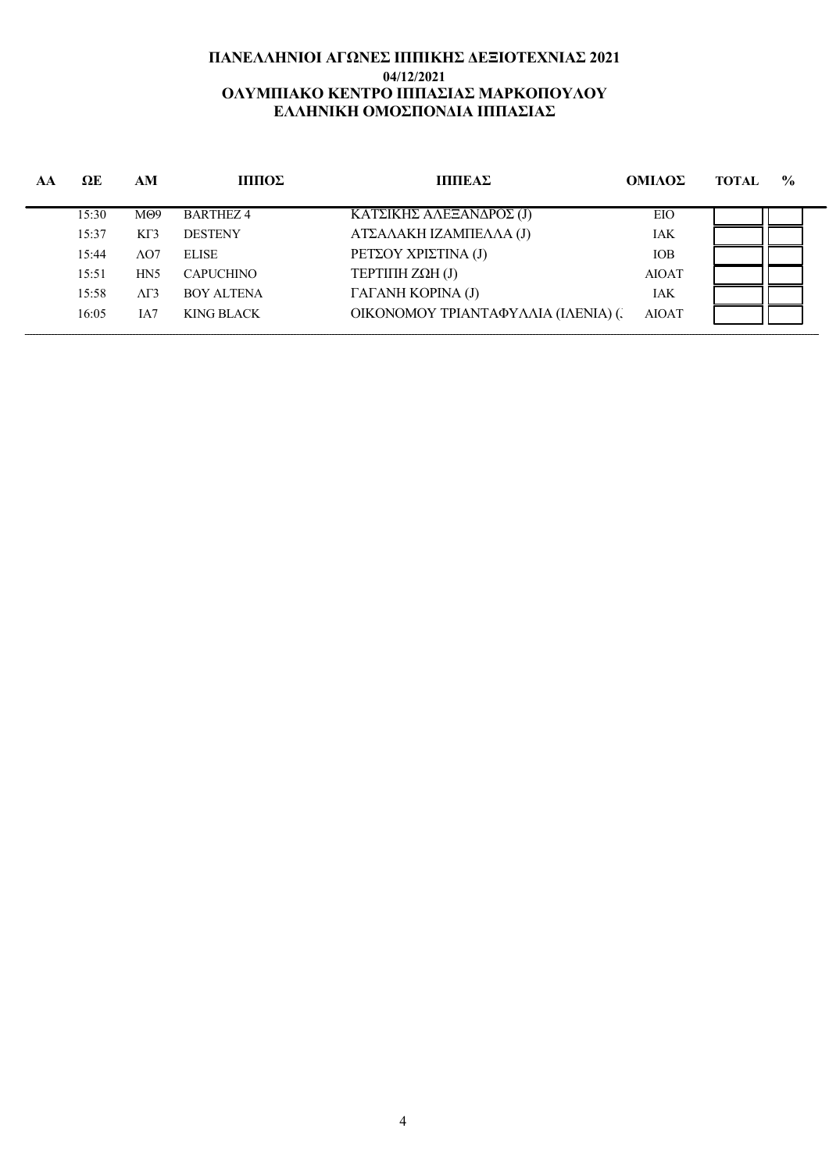## ΠΑΝΕΛΛΗΝΙΟΙ ΑΓΩΝΕΣ ΙΠΠΙΚΗΣ ΔΕΞΙΟΤΕΧΝΙΑΣ 2021 04/12/2021 ΟΛΥΜΠΙΑΚΟ ΚΕΝΤΡΟ ΙΠΠΑΣΙΑΣ ΜΑΡΚΟΠΟΥΛΟΥ ΕΛΛΗΝΙΚΗ ΟΜΟΣΠΟΝΔΙΑ ΙΠΠΑΣΙΑΣ

| AA | $\Omega$ E | AM               | ШΠΟΣ              | ШΠЕΑΣ                               | ΟΜΙΛΟΣ       | <b>TOTAL</b> | $\frac{6}{6}$ |
|----|------------|------------------|-------------------|-------------------------------------|--------------|--------------|---------------|
|    | 15:30      | M <sub>0</sub> 9 | BARTHEZ4          | ΚΑΤΣΙΚΗΣ ΑΛΕΞΑΝΔΡΟΣ (J)             | EIO          |              |               |
|    | 15:37      | KT3              | <b>DESTENY</b>    | ΑΤΣΑΛΑΚΗ ΙΖΑΜΠΕΛΛΑ (J)              | <b>IAK</b>   |              |               |
|    | 15:44      | $\Lambda$ O7     | <b>ELISE</b>      | ΡΕΤΣΟΥ ΧΡΙΣΤΙΝΑ (J)                 | <b>IOB</b>   |              |               |
|    | 15:51      | H <sub>N5</sub>  | <b>CAPUCHINO</b>  | <b>ΤΕΡΤΙΠΗ ΖΩΗ (J)</b>              | <b>AIOAT</b> |              |               |
|    | 15:58      | $\Delta\Gamma$ 3 | <b>BOY ALTENA</b> | ΓΑΓΑΝΗ ΚΟΡΙΝΑ (J)                   | <b>IAK</b>   |              |               |
|    | 16:05      | IA7              | KING BLACK        | ΟΙΚΟΝΟΜΟΥ ΤΡΙΑΝΤΑΦΥΛΛΙΑ (ΙΛΕΝΙΑ) (. | <b>AIOAT</b> |              |               |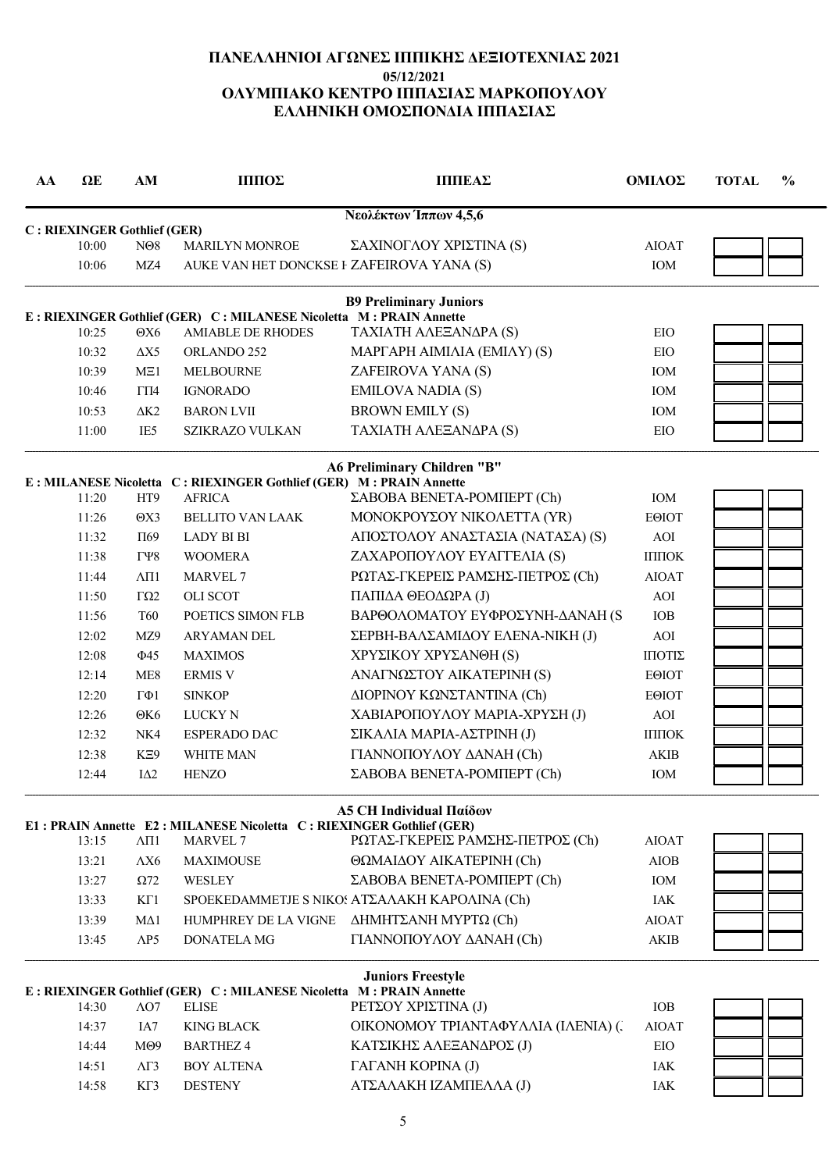# ΠΑΝΕΛΛΗΝΙΟΙ ΑΓΩΝΕΣ ΙΠΠΙΚΗΣ ΔΕΞΙΟΤΕΧΝΙΑΣ 2021 05/12/2021 ΟΛΥΜΠΙΑΚΟ ΚΕΝΤΡΟ ΙΠΠΑΣΙΑΣ ΜΑΡΚΟΠΟΥΛΟΥ ΕΛΛΗΝΙΚΗ ΟΜΟΣΠΟΝΔΙΑ ΙΠΠΑΣΙΑΣ

| AA | $\Omega$ E                           | AM                       | ΙΠΠΟΣ                                                                                   | ΠΠΙΕΑΣ                                        | ΟΜΙΛΟΣ                         | $\frac{6}{6}$<br><b>TOTAL</b> |
|----|--------------------------------------|--------------------------|-----------------------------------------------------------------------------------------|-----------------------------------------------|--------------------------------|-------------------------------|
|    |                                      |                          |                                                                                         | Νεολέκτων Ίππων 4,5,6                         |                                |                               |
|    | C: RIEXINGER Gothlief (GER)<br>10:00 | N <sub>08</sub>          | MARILYN MONROE                                                                          | ΣΑΧΙΝΟΓΛΟΥ ΧΡΙΣΤΙΝΑ (S)                       | <b>AIOAT</b>                   |                               |
|    | 10:06                                | MZ4                      | AUKE VAN HET DONCKSE F ZAFEIROVA YANA (S)                                               |                                               | IOM                            |                               |
|    |                                      |                          |                                                                                         | <b>B9 Preliminary Juniors</b>                 |                                |                               |
|    |                                      |                          | E : RIEXINGER Gothlief (GER) C : MILANESE Nicoletta M : PRAIN Annette                   |                                               |                                |                               |
|    | 10:25                                | $\Theta X6$              | <b>AMIABLE DE RHODES</b>                                                                | ΤΑΧΙΑΤΗ ΑΛΕΞΑΝΔΡΑ (S)                         | EIO                            |                               |
|    | 10:32                                | $\Delta X5$              | ORLANDO 252                                                                             | <b>ΜΑΡΓΑΡΗ ΑΙΜΙΛΙΑ (ΕΜΙΛΥ) (S)</b>            | EIO                            |                               |
|    | 10:39                                | ME1                      | <b>MELBOURNE</b>                                                                        | ZAFEIROVA YANA (S)                            | IOM                            |                               |
|    | 10:46                                | $\Gamma\Pi4$             | <b>IGNORADO</b>                                                                         | <b>EMILOVA NADIA (S)</b>                      | <b>IOM</b>                     |                               |
|    | 10:53                                | $\Delta K2$              | <b>BARON LVII</b>                                                                       | <b>BROWN EMILY (S)</b>                        | IOM                            |                               |
|    | 11:00                                | IE <sub>5</sub>          | <b>SZIKRAZO VULKAN</b>                                                                  | ΤΑΧΙΑΤΗ ΑΛΕΞΑΝΔΡΑ (S)                         | EIO                            |                               |
|    |                                      |                          |                                                                                         | <b>A6 Preliminary Children "B"</b>            |                                |                               |
|    | 11:20                                | HT <sub>9</sub>          | E : MILANESE Nicoletta C : RIEXINGER Gothlief (GER) M : PRAIN Annette<br><b>AFRICA</b>  | ΣΑΒΟΒΑ ΒΕΝΕΤΑ-ΡΟΜΠΕΡΤ (Ch)                    | IOM                            |                               |
|    | 11:26                                | $\Theta$ X3              | <b>BELLITO VAN LAAK</b>                                                                 | ΜΟΝΟΚΡΟΥΣΟΥ ΝΙΚΟΛΕΤΤΑ (ΥR)                    | ΕΘΙΟΤ                          |                               |
|    | 11:32                                | $\Pi$ 69                 | <b>LADY BI BI</b>                                                                       | ΑΠΟΣΤΟΛΟΥ ΑΝΑΣΤΑΣΙΑ (ΝΑΤΑΣΑ) (S)              | <b>AOI</b>                     |                               |
|    | 11:38                                | $\Gamma$ $\gamma$ 8      | <b>WOOMERA</b>                                                                          | ΖΑΧΑΡΟΠΟΥΛΟΥ ΕΥΑΓΓΕΛΙΑ (S)                    | $\text{I}\Pi\text{IO}\text{K}$ |                               |
|    | 11:44                                | $\Lambda$ <sub>II1</sub> | <b>MARVEL 7</b>                                                                         | ΡΩΤΑΣ-ΓΚΕΡΕΙΣ ΡΑΜΣΗΣ-ΠΕΤΡΟΣ (Ch)              | <b>AIOAT</b>                   |                               |
|    | 11:50                                | $\Gamma\Omega$           | <b>OLI SCOT</b>                                                                         | ΠΑΠΙΔΑ ΘΕΟΔΩΡΑ (J)                            | <b>AOI</b>                     |                               |
|    |                                      | <b>T60</b>               | POETICS SIMON FLB                                                                       |                                               | IOB                            |                               |
|    | 11:56                                |                          |                                                                                         | ΒΑΡΘΟΛΟΜΑΤΟΥ ΕΥΦΡΟΣΥΝΗ-ΔΑΝΑΗ (S               |                                |                               |
|    | 12:02                                | MZ9                      | ARYAMAN DEL                                                                             | ΣΕΡΒΗ-ΒΑΛΣΑΜΙΔΟΥ ΕΛΕΝΑ-ΝΙΚΗ (J)               | AOI                            |                               |
|    | 12:08                                | $\Phi$ 45                | <b>MAXIMOS</b>                                                                          | ΧΡΥΣΙΚΟΥ ΧΡΥΣΑΝΘΗ (S)                         | ΠΙΟΤΙΣ                         |                               |
|    | 12:14                                | ME <sub>8</sub>          | <b>ERMIS V</b>                                                                          | ΑΝΑΓΝΩΣΤΟΥ ΑΙΚΑΤΕΡΙΝΗ (S)                     | EOIOT                          |                               |
|    | 12:20                                | $\Gamma \Phi 1$          | <b>SINKOP</b>                                                                           | ΔΙΟΡΙΝΟΥ ΚΩΝΣΤΑΝΤΙΝΑ (Ch)                     | <b>EOIOT</b>                   |                               |
|    | 12:26                                | $\Theta$ K6              | <b>LUCKY N</b>                                                                          | ΧΑΒΙΑΡΟΠΟΥΛΟΥ ΜΑΡΙΑ-ΧΡΥΣΗ (J)                 | AOI                            |                               |
|    | 12:32                                | NK4                      | <b>ESPERADO DAC</b>                                                                     | ΣΙΚΑΛΙΑ ΜΑΡΙΑ-ΑΣΤΡΙΝΗ (J)                     | ІППОК                          |                               |
|    | 12:38                                | KE9                      | <b>WHITE MAN</b>                                                                        | ΓΙΑΝΝΟΠΟΥΛΟΥ ΔΑΝΑΗ (Ch)                       | <b>AKIB</b>                    |                               |
|    | 12:44                                | $I\Delta2$               | <b>HENZO</b>                                                                            | ΣΑΒΟΒΑ ΒΕΝΕΤΑ-ΡΟΜΠΕΡΤ (Ch)                    | IOM                            |                               |
|    |                                      |                          |                                                                                         | A5 CH Individual Παίδων                       |                                |                               |
|    | 13:15                                | $\Lambda \Pi 1$          | E1: PRAIN Annette E2: MILANESE Nicoletta C: RIEXINGER Gothlief (GER)<br><b>MARVEL 7</b> | ΡΩΤΑΣ-ΓΚΕΡΕΙΣ ΡΑΜΣΗΣ-ΠΕΤΡΟΣ (Ch)              | <b>AIOAT</b>                   |                               |
|    | 13:21                                | $\Lambda X6$             | <b>MAXIMOUSE</b>                                                                        | ΘΩΜΑΙΔΟΥ ΑΙΚΑΤΕΡΙΝΗ (Ch)                      | <b>AIOB</b>                    |                               |
|    | 13:27                                | $\Omega$ 72              | WESLEY                                                                                  | ΣΑΒΟΒΑ ΒΕΝΕΤΑ-ΡΟΜΠΕΡΤ (Ch)                    | IOM                            |                               |
|    |                                      |                          |                                                                                         |                                               |                                |                               |
|    | 13:33                                | $K\Gamma1$               |                                                                                         | SPOEKEDAMMETJE S NIKOS ΑΤΣΑΛΑΚΗ ΚΑΡΟΛΙΝΑ (Ch) | IAK                            |                               |
|    | 13:39                                | $M\Delta 1$              | HUMPHREY DE LA VIGNE                                                                    | ΔΗΜΗΤΣΑΝΗ ΜΥΡΤΩ (Ch)                          | <b>AIOAT</b>                   |                               |
|    | 13:45                                | $\triangle P5$           | <b>DONATELA MG</b>                                                                      | ΓΙΑΝΝΟΠΟΥΛΟΥ ΔΑΝΑΗ (Ch)                       | AKIB                           |                               |
|    |                                      |                          | E : RIEXINGER Gothlief (GER) C : MILANESE Nicoletta M : PRAIN Annette                   | <b>Juniors Freestyle</b>                      |                                |                               |
|    | 14:30                                | $\Lambda$ O7             | <b>ELISE</b>                                                                            | ΡΕΤΣΟΥ ΧΡΙΣΤΙΝΑ (J)                           | IOB                            |                               |
|    | 14:37                                | IA7                      | <b>KING BLACK</b>                                                                       | ΟΙΚΟΝΟΜΟΥ ΤΡΙΑΝΤΑΦΥΛΛΙΑ (ΙΛΕΝΙΑ) (.           | <b>AIOAT</b>                   |                               |
|    | 14:44                                | M <sub>0</sub>           | <b>BARTHEZ 4</b>                                                                        | ΚΑΤΣΙΚΗΣ ΑΛΕΞΑΝΔΡΟΣ (J)                       | EIO                            |                               |
|    | 14:51                                | $\Lambda\Gamma$ 3        | <b>BOY ALTENA</b>                                                                       | ΓΑΓΑΝΗ ΚΟΡΙΝΑ (J)                             | IAK                            |                               |
|    | 14:58                                | KT3                      | <b>DESTENY</b>                                                                          | ΑΤΣΑΛΑΚΗ ΙΖΑΜΠΕΛΛΑ (J)                        | IAK                            |                               |
|    |                                      |                          |                                                                                         |                                               |                                |                               |